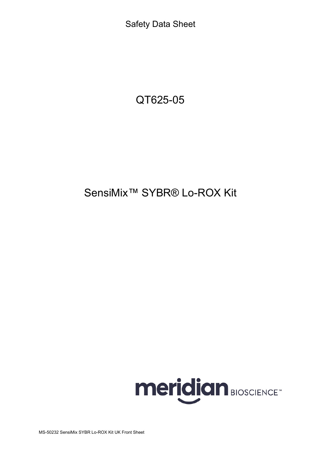Safety Data Sheet

# QT625-05

# SensiMix<sup>™</sup> SYBR® Lo-ROX Kit

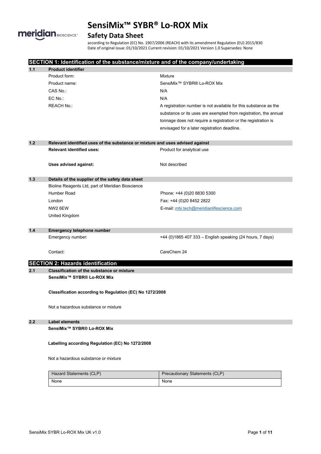

# **Safety Data Sheet**

according to Regulation (EC) No. 1907/2006 (REACH) with its amendment Regulation (EU) 2015/830 Date of original issue: 01/10/2021 Current revision: 01/10/2021 Version 1.0 Supersedes: None

|       | SECTION 1: Identification of the substance/mixture and of the company/undertaking        |                                                                  |  |  |
|-------|------------------------------------------------------------------------------------------|------------------------------------------------------------------|--|--|
| 1.1   | <b>Product identifier</b>                                                                |                                                                  |  |  |
|       | Product form:                                                                            | Mixture                                                          |  |  |
|       | Product name:                                                                            | SensiMix <sup>™</sup> SYBR® Lo-ROX Mix                           |  |  |
|       | CAS No.:                                                                                 | N/A                                                              |  |  |
|       | EC No.:                                                                                  | N/A                                                              |  |  |
|       | <b>REACH No.:</b>                                                                        | A registration number is not available for this substance as the |  |  |
|       |                                                                                          | substance or its uses are exempted from registration, the annual |  |  |
|       |                                                                                          | tonnage does not require a registration or the registration is   |  |  |
|       |                                                                                          | envisaged for a later registration deadline.                     |  |  |
|       |                                                                                          |                                                                  |  |  |
| $1.2$ | Relevant identified uses of the substance or mixture and uses advised against            |                                                                  |  |  |
|       | <b>Relevant identified uses:</b>                                                         | Product for analytical use                                       |  |  |
|       | Uses advised against:                                                                    | Not described                                                    |  |  |
| $1.3$ | Details of the supplier of the safety data sheet                                         |                                                                  |  |  |
|       | Bioline Reagents Ltd, part of Meridian Bioscience                                        |                                                                  |  |  |
|       | Humber Road                                                                              | Phone: +44 (0)20 8830 5300                                       |  |  |
|       | London                                                                                   | Fax: +44 (0)20 8452 2822                                         |  |  |
|       | NW2 6EW                                                                                  | E-mail: mbi.tech@meridianlifescience.com                         |  |  |
|       | United Kingdom                                                                           |                                                                  |  |  |
|       |                                                                                          |                                                                  |  |  |
| $1.4$ | <b>Emergency telephone number</b>                                                        |                                                                  |  |  |
|       | Emergency number:                                                                        | +44 (0)1865 407 333 - English speaking (24 hours, 7 days)        |  |  |
|       | Contact:                                                                                 | CareChem 24                                                      |  |  |
|       |                                                                                          |                                                                  |  |  |
|       | <b>SECTION 2: Hazards identification</b>                                                 |                                                                  |  |  |
| 2.1   | <b>Classification of the substance or mixture</b>                                        |                                                                  |  |  |
|       | SensiMix <sup>™</sup> SYBR® Lo-ROX Mix                                                   |                                                                  |  |  |
|       | Classification according to Regulation (EC) No 1272/2008                                 |                                                                  |  |  |
|       | Not a hazardous substance or mixture                                                     |                                                                  |  |  |
| 2.2   | <b>Label elements</b>                                                                    |                                                                  |  |  |
|       | SensiMix <sup>™</sup> SYBR® Lo-ROX Mix                                                   |                                                                  |  |  |
|       | Labelling according Regulation (EC) No 1272/2008<br>Not a hazardous substance or mixture |                                                                  |  |  |
|       |                                                                                          |                                                                  |  |  |
|       | <b>Hazard Statements (CLP)</b>                                                           | <b>Precautionary Statements (CLP)</b>                            |  |  |
|       | None                                                                                     | None                                                             |  |  |
|       |                                                                                          |                                                                  |  |  |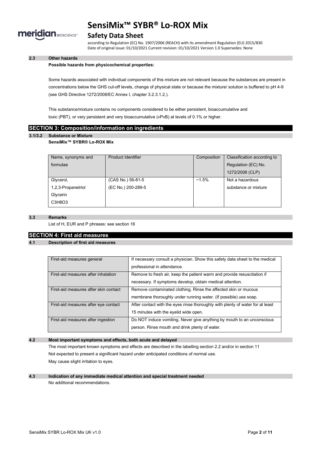

### **Safety Data Sheet**

according to Regulation (EC) No. 1907/2006 (REACH) with its amendment Regulation (EU) 2015/830 Date of original issue: 01/10/2021 Current revision: 01/10/2021 Version 1.0 Supersedes: None

### **2.3 Other hazards**

#### **Possible hazards from physicochemical properties:**

Some hazards associated with individual components of this mixture are not relevant because the substances are present in concentrations below the GHS cut-off levels, change of physical state or because the mixture/ solution is buffered to pH 4-9 (see GHS Directive 1272/2008/EC Annex I, chapter 3.2.3.1.2.).

This substance/mixture contains no components considered to be either persistent, bioaccumulative and toxic (PBT), or very persistent and very bioaccumulative (vPvB) at levels of 0.1% or higher.

#### **SECTION 3: Composition/information on ingredients**

#### **3.1/3.2 Substance or Mixture**

#### **SensiMix™ SYBR® Lo-ROX Mix**

| Name, synonyms and | Product Identifier | Composition | Classification according to |
|--------------------|--------------------|-------------|-----------------------------|
| formulae           |                    |             | Regulation (EC) No.         |
|                    |                    |             | 1272/2008 (CLP)             |
| Glycerol,          | (CAS No.) 56-81-5  | $~1.5\%$    | Not a hazardous             |
| 1,2,3-Propanetriol | (EC No.) 200-289-5 |             | substance or mixture        |
| Glycerin           |                    |             |                             |
| C3H8O3             |                    |             |                             |

#### **3.3 Remarks**

List of H, EUR and P phrases: see section 16

#### **SECTION 4: First aid measures**

#### **4.1 Description of first aid measures**

| First-aid measures general            | If necessary consult a physician. Show this safety data sheet to the medical   |  |
|---------------------------------------|--------------------------------------------------------------------------------|--|
|                                       | professional in attendance.                                                    |  |
| First-aid measures after inhalation   | Remove to fresh air, keep the patient warm and provide resuscitation if        |  |
|                                       | necessary. If symptoms develop, obtain medical attention.                      |  |
| First-aid measures after skin contact | Remove contaminated clothing. Rinse the affected skin or mucous                |  |
|                                       | membrane thoroughly under running water. (If possible) use soap.               |  |
| First-aid measures after eye contact  | After contact with the eyes rinse thoroughly with plenty of water for at least |  |
|                                       | 15 minutes with the eyelid wide open.                                          |  |
| First-aid measures after ingestion    | Do NOT induce vomiting. Never give anything by mouth to an unconscious         |  |
|                                       | person. Rinse mouth and drink plenty of water.                                 |  |

#### **4.2 Most important symptoms and effects, both acute and delayed**

The most important known symptoms and effects are described in the labelling section 2.2 and/or in section 11 Not expected to present a significant hazard under anticipated conditions of normal use. May cause slight irritation to eyes.

#### **4.3 Indication of any immediate medical attention and special treatment needed** No additional recommendations.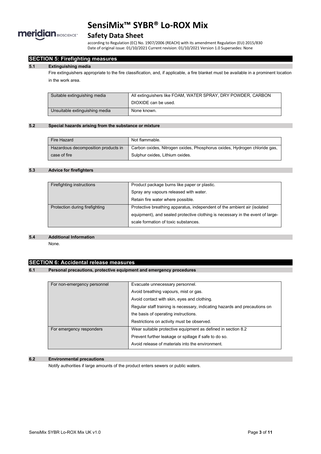

### **Safety Data Sheet**

according to Regulation (EC) No. 1907/2006 (REACH) with its amendment Regulation (EU) 2015/830 Date of original issue: 01/10/2021 Current revision: 01/10/2021 Version 1.0 Supersedes: None

#### **SECTION 5: Firefighting measures**

#### **5.1 Extinguishing media**

Fire extinguishers appropriate to the fire classification, and, if applicable, a fire blanket must be available in a prominent location in the work area.

| Suitable extinguishing media   | All extinguishers like FOAM, WATER SPRAY, DRY POWDER, CARBON |  |
|--------------------------------|--------------------------------------------------------------|--|
|                                | DIOXIDE can be used.                                         |  |
| Unsuitable extinguishing media | None known.                                                  |  |

#### **5.2 Special hazards arising from the substance or mixture**

| Fire Hazard                         | Not flammable.                                                            |
|-------------------------------------|---------------------------------------------------------------------------|
| Hazardous decomposition products in | Carbon oxides, Nitrogen oxides, Phosphorus oxides, Hydrogen chloride gas, |
| case of fire                        | Sulphur oxides, Lithium oxides.                                           |

#### **5.3 Advice for firefighters**

| Product package burns like paper or plastic.                                   |
|--------------------------------------------------------------------------------|
| Spray any vapours released with water.                                         |
| Retain fire water where possible.                                              |
| Protective breathing apparatus, independent of the ambient air (isolated       |
| equipment), and sealed protective clothing is necessary in the event of large- |
| scale formation of toxic substances.                                           |
|                                                                                |

#### **5.4 Additional Information**

None.

### **SECTION 6: Accidental release measures**

#### **6.1 Personal precautions, protective equipment and emergency procedures**

| For non-emergency personnel | Evacuate unnecessary personnel.                                            |  |
|-----------------------------|----------------------------------------------------------------------------|--|
|                             | Avoid breathing vapours, mist or gas.                                      |  |
|                             | Avoid contact with skin, eyes and clothing.                                |  |
|                             | Regular staff training is necessary, indicating hazards and precautions on |  |
|                             | the basis of operating instructions.                                       |  |
|                             | Restrictions on activity must be observed.                                 |  |
| For emergency responders    | Wear suitable protective equipment as defined in section 8.2               |  |
|                             | Prevent further leakage or spillage if safe to do so.                      |  |
|                             | Avoid release of materials into the environment.                           |  |

#### **6.2 Environmental precautions**

Notify authorities if large amounts of the product enters sewers or public waters.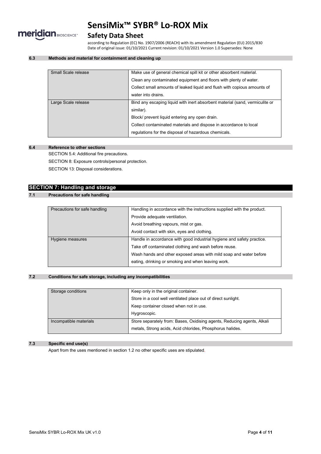

# **Safety Data Sheet**

according to Regulation (EC) No. 1907/2006 (REACH) with its amendment Regulation (EU) 2015/830 Date of original issue: 01/10/2021 Current revision: 01/10/2021 Version 1.0 Supersedes: None

#### **6.3 Methods and material for containment and cleaning up**

| Small Scale release | Make use of general chemical spill kit or other absorbent material.          |
|---------------------|------------------------------------------------------------------------------|
|                     | Clean any contaminated equipment and floors with plenty of water.            |
|                     | Collect small amounts of leaked liquid and flush with copious amounts of     |
|                     | water into drains.                                                           |
| Large Scale release | Bind any escaping liquid with inert absorbent material (sand, vermiculite or |
|                     | similar).                                                                    |
|                     | Block/ prevent liquid entering any open drain.                               |
|                     | Collect contaminated materials and dispose in accordance to local            |
|                     | regulations for the disposal of hazardous chemicals.                         |
|                     |                                                                              |

#### **6.4 Reference to other sections**

SECTION 5.4: Additional fire precautions.

SECTION 8: Exposure controls/personal protection.

SECTION 13: Disposal considerations.

# **SECTION 7: Handling and storage**

### **7.1 Precautions for safe handling**

| Precautions for safe handling | Handling in accordance with the instructions supplied with the product. |
|-------------------------------|-------------------------------------------------------------------------|
|                               | Provide adequate ventilation.                                           |
|                               | Avoid breathing vapours, mist or gas.                                   |
|                               | Avoid contact with skin, eyes and clothing.                             |
| Hygiene measures              | Handle in accordance with good industrial hygiene and safety practice.  |
|                               | Take off contaminated clothing and wash before reuse.                   |
|                               | Wash hands and other exposed areas with mild soap and water before      |
|                               | eating, drinking or smoking and when leaving work.                      |

#### **7.2 Conditions for safe storage, including any incompatibilities**

| Storage conditions     | Keep only in the original container.                                    |
|------------------------|-------------------------------------------------------------------------|
|                        | Store in a cool well ventilated place out of direct sunlight.           |
|                        | Keep container closed when not in use.                                  |
|                        | Hygroscopic.                                                            |
| Incompatible materials | Store separately from: Bases, Oxidising agents, Reducing agents, Alkali |
|                        | metals, Strong acids, Acid chlorides, Phosphorus halides.               |

#### **7.3 Specific end use(s)**

Apart from the uses mentioned in section 1.2 no other specific uses are stipulated.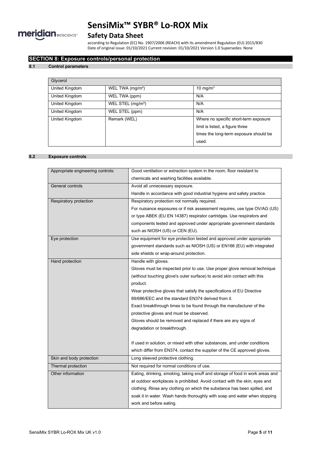

# **Safety Data Sheet**

according to Regulation (EC) No. 1907/2006 (REACH) with its amendment Regulation (EU) 2015/830 Date of original issue: 01/10/2021 Current revision: 01/10/2021 Version 1.0 Supersedes: None

#### **SECTION 8: Exposure controls/personal protection**

#### **8.1 Control parameters**

| Glycerol       |                               |                                                                                                                             |
|----------------|-------------------------------|-----------------------------------------------------------------------------------------------------------------------------|
| United Kingdom | WEL TWA $(mg/m3)$             | 10 mg/m $3$                                                                                                                 |
| United Kingdom | WEL TWA (ppm)                 | N/A                                                                                                                         |
| United Kingdom | WEL STEL (mg/m <sup>3</sup> ) | N/A                                                                                                                         |
| United Kingdom | WEL STEL (ppm)                | N/A                                                                                                                         |
| United Kingdom | Remark (WEL)                  | Where no specific short-term exposure<br>limit is listed, a figure three<br>times the long-term exposure should be<br>used. |

#### **8.2 Exposure controls**

| Appropriate engineering controls: | Good ventilation or extraction system in the room, floor resistant to         |
|-----------------------------------|-------------------------------------------------------------------------------|
|                                   | chemicals and washing facilities available.                                   |
| General controls                  | Avoid all unnecessary exposure.                                               |
|                                   | Handle in accordance with good industrial hygiene and safety practice.        |
| Respiratory protection            | Respiratory protection not normally required.                                 |
|                                   | For nuisance exposures or if risk assessment requires, use type OV/AG (US)    |
|                                   | or type ABEK (EU EN 14387) respirator cartridges. Use respirators and         |
|                                   | components tested and approved under appropriate government standards         |
|                                   | such as NIOSH (US) or CEN (EU).                                               |
| Eye protection                    | Use equipment for eye protection tested and approved under appropriate        |
|                                   | government standards such as NIOSH (US) or EN166 (EU) with integrated         |
|                                   | side shields or wrap-around protection.                                       |
| Hand protection                   | Handle with gloves.                                                           |
|                                   | Gloves must be inspected prior to use. Use proper glove removal technique     |
|                                   | (without touching glove's outer surface) to avoid skin contact with this      |
|                                   | product.                                                                      |
|                                   | Wear protective gloves that satisfy the specifications of EU Directive        |
|                                   | 89/686/EEC and the standard EN374 derived from it.                            |
|                                   | Exact breakthrough times to be found through the manufacturer of the          |
|                                   | protective gloves and must be observed.                                       |
|                                   | Gloves should be removed and replaced if there are any signs of               |
|                                   | degradation or breakthrough.                                                  |
|                                   |                                                                               |
|                                   | If used in solution, or mixed with other substances, and under conditions     |
|                                   | which differ from EN374, contact the supplier of the CE approved gloves.      |
| Skin and body protection          | Long sleeved protective clothing.                                             |
| Thermal protection                | Not required for normal conditions of use.                                    |
| Other information                 | Eating, drinking, smoking, taking snuff and storage of food in work areas and |
|                                   | at outdoor workplaces is prohibited. Avoid contact with the skin, eyes and    |
|                                   | clothing. Rinse any clothing on which the substance has been spilled, and     |
|                                   | soak it in water. Wash hands thoroughly with soap and water when stopping     |
|                                   | work and before eating.                                                       |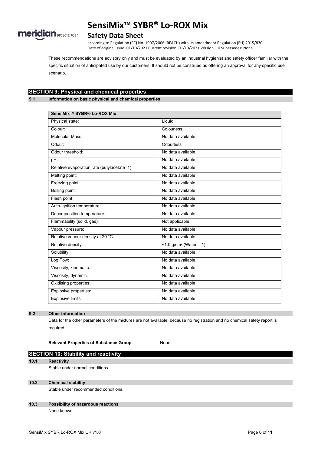

### **Safety Data Sheet**

according to Regulation (EC) No. 1907/2006 (REACH) with its amendment Regulation (EU) 2015/830 Date of original issue: 01/10/2021 Current revision: 01/10/2021 Version 1.0 Supersedes: None

These recommendations are advisory only and must be evaluated by an industrial hygienist and safety officer familiar with the specific situation of anticipated use by our customers. It should not be construed as offering an approval for any specific use scenario.

# **SECTION 9: Physical and chemical properties**

**9.1 Information on basic physical and chemical properties**

| SensiMix <sup>™</sup> SYBR® Lo-ROX Mix      |                           |  |
|---------------------------------------------|---------------------------|--|
| Physical state:                             | Liquid                    |  |
| Colour:                                     | Colourless                |  |
| Molecular Mass:                             | No data available         |  |
| Odour:                                      | Odourless                 |  |
| Odour threshold:                            | No data available         |  |
| pH:                                         | No data available         |  |
| Relative evaporation rate (butylacetate=1): | No data available         |  |
| Melting point:                              | No data available         |  |
| Freezing point:                             | No data available         |  |
| Boiling point:                              | No data available         |  |
| Flash point:                                | No data available         |  |
| Auto-ignition temperature:                  | No data available         |  |
| Decomposition temperature:                  | No data available         |  |
| Flammability (solid, gas):                  | Not applicable            |  |
| Vapour pressure:                            | No data available         |  |
| Relative vapour density at 20 °C:           | No data available         |  |
| Relative density:                           | ~1.0 $g/cm^3$ (Water = 1) |  |
| Solubility:                                 | No data available         |  |
| Log Pow:                                    | No data available         |  |
| Viscosity, kinematic:                       | No data available         |  |
| Viscosity, dynamic:                         | No data available         |  |
| Oxidising properties:                       | No data available         |  |
| Explosive properties:                       | No data available         |  |
| Explosive limits:                           | No data available         |  |

#### **9.2 Other information**

Data for the other parameters of the mixtures are not available, because no registration and no chemical safety report is required.

**Relevant Properties of Substance Group**: None

# **SECTION 10: Stability and reactivity 10.1 Reactivity** Stable under normal conditions. **10.2 Chemical stability**

Stable under recommended conditions.

#### **10.3 Possibility of hazardous reactions** None known.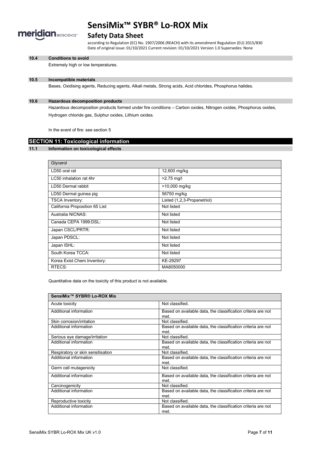

### **Safety Data Sheet**

according to Regulation (EC) No. 1907/2006 (REACH) with its amendment Regulation (EU) 2015/830 Date of original issue: 01/10/2021 Current revision: 01/10/2021 Version 1.0 Supersedes: None

#### **10.4 Conditions to avoid**

Extremely high or low temperatures.

#### **10.5 Incompatible materials**

Bases, Oxidising agents, Reducing agents, Alkali metals, Strong acids, Acid chlorides, Phosphorus halides.

#### **10.6 Hazardous decomposition products**

Hazardous decomposition products formed under fire conditions – Carbon oxides, Nitrogen oxides, Phosphorus oxides, Hydrogen chloride gas, Sulphur oxides, Lithium oxides.

In the event of fire: see section 5

### **SECTION 11: Toxicological information**

#### **11.1 Information on toxicological effects**

| Glycerol                        |                             |
|---------------------------------|-----------------------------|
| LD50 oral rat                   | 12,600 mg/kg                |
| LC50 inhalation rat 4hr         | $>2.75$ mg/l                |
| LD50 Dermal rabbit              | >10,000 mg/kg               |
| LD50 Dermal guinea pig          | 56750 mg/kg                 |
| <b>TSCA Inventory:</b>          | Listed (1,2,3-Propanetriol) |
| California Proposition 65 List: | Not listed                  |
| Australia NICNAS:               | Not listed                  |
| Canada CEPA 1999:DSL:           | Not listed                  |
| Japan CSCL/PRTR:                | Not listed                  |
| Japan PDSCL:                    | Not listed                  |
| Japan ISHL:                     | Not listed                  |
| South Korea TCCA:               | Not listed                  |
| Korea Exist.Chem.Inventory:     | KE-29297                    |
| RTECS:                          | MA8050000                   |

Quantitative data on the toxicity of this product is not available.

| SensiMix™ SYBR® Lo-ROX Mix        |                                                              |
|-----------------------------------|--------------------------------------------------------------|
| Acute toxicity                    | Not classified                                               |
| Additional information            | Based on available data, the classification criteria are not |
|                                   | met.                                                         |
| Skin corrosion/irritation         | Not classified.                                              |
| Additional information            | Based on available data, the classification criteria are not |
|                                   | met.                                                         |
| Serious eye damage/irritation     | Not classified.                                              |
| Additional information            | Based on available data, the classification criteria are not |
|                                   | met.                                                         |
| Respiratory or skin sensitisation | Not classified                                               |
| Additional information            | Based on available data, the classification criteria are not |
|                                   | met                                                          |
| Germ cell mutagenicity            | Not classified                                               |
| Additional information            | Based on available data, the classification criteria are not |
|                                   | met.                                                         |
| Carcinogenicity                   | Not classified.                                              |
| Additional information            | Based on available data, the classification criteria are not |
|                                   | met.                                                         |
| Reproductive toxicity             | Not classified.                                              |
| Additional information            | Based on available data, the classification criteria are not |
|                                   | met.                                                         |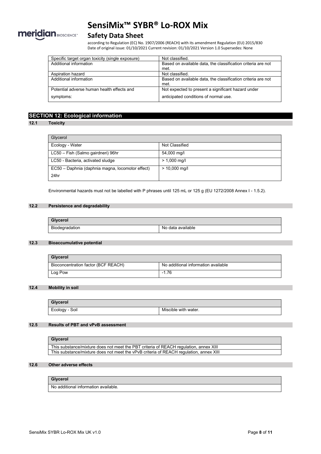

# **Safety Data Sheet**

according to Regulation (EC) No. 1907/2006 (REACH) with its amendment Regulation (EU) 2015/830 Date of original issue: 01/10/2021 Current revision: 01/10/2021 Version 1.0 Supersedes: None

| Specific target organ toxicity (single exposure) | Not classified.                                              |
|--------------------------------------------------|--------------------------------------------------------------|
| Additional information                           | Based on available data, the classification criteria are not |
|                                                  | met.                                                         |
| Aspiration hazard                                | Not classified.                                              |
| Additional information                           | Based on available data, the classification criteria are not |
|                                                  | met.                                                         |
| Potential adverse human health effects and       | Not expected to present a significant hazard under           |
| symptoms:                                        | anticipated conditions of normal use.                        |

## **SECTION 12: Ecological information**

#### **12.1 Toxicity**

| Glycerol                                         |                 |
|--------------------------------------------------|-----------------|
| Ecology - Water                                  | Not Classified  |
| LC50 - Fish (Salmo gairdneri) 96hr               | 54,000 mg/l     |
| LC50 - Bacteria, activated sludge                | $> 1,000$ mg/l  |
| EC50 - Daphnia (daphnia magna, locomotor effect) | $> 10,000$ mg/l |
| 24hr                                             |                 |

Environmental hazards must not be labelled with P phrases until 125 mL or 125 g (EU 1272/2008 Annex I - 1.5.2).

#### **12.2 Persistence and degradability**

| Glycerol       |                   |
|----------------|-------------------|
| Biodegradation | No data available |

#### **12.3 Bioaccumulative potential**

| Glycerol                            |                                     |
|-------------------------------------|-------------------------------------|
| Bioconcentration factor (BCF REACH) | No additional information available |
| Log Pow                             | $-1.76$                             |

#### **12.4 Mobility in soil**

| <b>Givcerol</b> |                      |
|-----------------|----------------------|
| Ecology - Soil  | Miscible with water. |

#### **12.5 Results of PBT and vPvB assessment**

| Glycerol                                                                               |
|----------------------------------------------------------------------------------------|
| This substance/mixture does not meet the PBT criteria of REACH regulation, annex XIII  |
| This substance/mixture does not meet the vPvB criteria of REACH regulation, annex XIII |

#### **12.6 Other adverse effects**

#### **Glycerol**

No additional information available.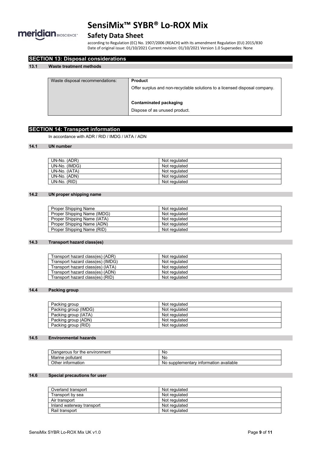

# **Safety Data Sheet**

according to Regulation (EC) No. 1907/2006 (REACH) with its amendment Regulation (EU) 2015/830 Date of original issue: 01/10/2021 Current revision: 01/10/2021 Version 1.0 Supersedes: None

| Waste disposal recommendations: | <b>Product</b>                                                             |
|---------------------------------|----------------------------------------------------------------------------|
|                                 | Offer surplus and non-recyclable solutions to a licensed disposal company. |
|                                 | Contaminated packaging                                                     |
|                                 | Dispose of as unused product.                                              |

### **SECTION 14: Transport information**

**SECTION 13: Disposal considerations**

In accordance with ADR / RID / IMDG / IATA / ADN

### **14.1 UN number**

| UN-No. (ADR)  | Not regulated |
|---------------|---------------|
| UN-No. (IMDG) | Not regulated |
| UN-No. (IATA) | Not regulated |
| UN-No. (ADN)  | Not regulated |
| UN-No. (RID)  | Not regulated |

#### **14.2 UN proper shipping name**

| Proper Shipping Name        | Not regulated |
|-----------------------------|---------------|
| Proper Shipping Name (IMDG) | Not regulated |
| Proper Shipping Name (IATA) | Not regulated |
| Proper Shipping Name (ADN)  | Not regulated |
| Proper Shipping Name (RID)  | Not regulated |

#### **14.3 Transport hazard class(es)**

| Transport hazard class(es) (ADR)  | Not regulated |
|-----------------------------------|---------------|
| Transport hazard class(es) (IMDG) | Not regulated |
| Transport hazard class(es) (IATA) | Not regulated |
| Transport hazard class(es) (ADN)  | Not regulated |
| Transport hazard class(es) (RID)  | Not regulated |

#### **14.4 Packing group**

| Packing group        | Not regulated |
|----------------------|---------------|
| Packing group (IMDG) | Not regulated |
| Packing group (IATA) | Not regulated |
| Packing group (ADN)  | Not regulated |
| Packing group (RID)  | Not regulated |

#### **14.5 Environmental hazards**

| Dangerous for the environment | <b>No</b>                                                            |
|-------------------------------|----------------------------------------------------------------------|
| Marine pollutant              | <b>No</b>                                                            |
| Other information             | ⊧available<br>supplementary<br><sup>,</sup> information<br><b>No</b> |

#### **14.6 Special precautions for user**

| Overland transport        | Not regulated |
|---------------------------|---------------|
| Transport by sea          | Not regulated |
| Air transport             | Not regulated |
| Inland waterway transport | Not regulated |
| Rail transport            | Not regulated |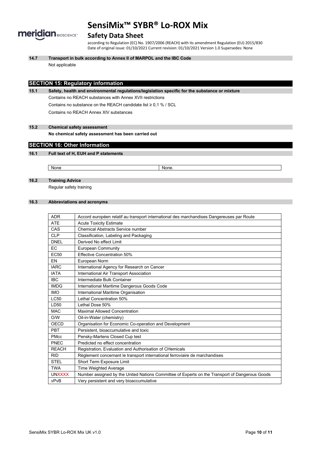

### **Safety Data Sheet**

according to Regulation (EC) No. 1907/2006 (REACH) with its amendment Regulation (EU) 2015/830 Date of original issue: 01/10/2021 Current revision: 01/10/2021 Version 1.0 Supersedes: None

**14.7 Transport in bulk according to Annex II of MARPOL and the IBC Code**

Not applicable

### **SECTION 15: Regulatory information**

**15.1 Safety, health and environmental regulations/legislation specific for the substance or mixture** Contains no REACH substances with Annex XVII restrictions Contains no substance on the REACH candidate list ≥ 0,1 % / SCL Contains no REACH Annex XIV substances

**15.2 Chemical safety assessment**

**No chemical safety assessment has been carried out**

#### **SECTION 16: Other Information**

#### **16.1 Full text of H, EUH and P statements**

None None.

**16.2 Training Advice**

Regular safety training

#### **16.3 Abbreviations and acronyms**

| <b>ADR</b>       | Accord européen relatif au transport international des marchandises Dangereuses par Route      |
|------------------|------------------------------------------------------------------------------------------------|
| <b>ATE</b>       | <b>Acute Toxicity Estimate</b>                                                                 |
| CAS              | <b>Chemical Abstracts Service number</b>                                                       |
| <b>CLP</b>       | Classification, Labeling and Packaging                                                         |
| <b>DNEL</b>      | Derived No effect Limit                                                                        |
| EC.              | <b>European Community</b>                                                                      |
| EC <sub>50</sub> | <b>Effective Concentration 50%</b>                                                             |
| EN               | European Norm                                                                                  |
| <b>IARC</b>      | International Agency for Research on Cancer                                                    |
| <b>IATA</b>      | International Air Transport Association                                                        |
| <b>IBC</b>       | Intermediate Bulk Container                                                                    |
| <b>IMDG</b>      | International Maritime Dangerous Goods Code                                                    |
| <b>IMO</b>       | International Maritime Organisation                                                            |
| <b>LC50</b>      | Lethal Concentration 50%                                                                       |
| LD50             | Lethal Dose 50%                                                                                |
| <b>MAC</b>       | <b>Maximal Allowed Concentration</b>                                                           |
| O/W              | Oil-in-Water (chemistry)                                                                       |
| OECD             | Organisation for Economic Co-operation and Development                                         |
| PBT              | Persistent, bioaccumulative and toxic                                                          |
| <b>PMcc</b>      | Pensky-Martens Closed Cup test                                                                 |
| PNEC             | Predicted no effect concentration                                                              |
| <b>REACH</b>     | Registration, Evaluation and Authorisation of CHemicals                                        |
| <b>RID</b>       | Règlement concernant le transport international ferroviaire de marchandises                    |
| <b>STEL</b>      | Short Term Exposure Limit                                                                      |
| <b>TWA</b>       | Time Weighted Average                                                                          |
| <b>UNXXXX</b>    | Number assigned by the United Nations Committee of Experts on the Transport of Dangerous Goods |
| vPvB             | Very persistent and very bioaccumulative                                                       |